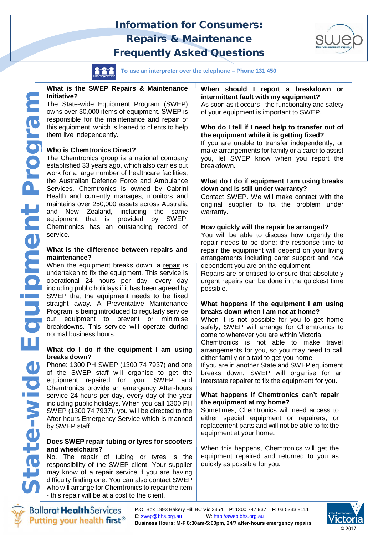# **Information for Consumers:** *Repairs & Maintenance* **Frequently Asked Questions**



**To use an interpreter over the telephone – Phone 131 450** 

#### **What is the SWEP Repairs & Maintenance Initiative?**

The State-wide Equipment Program (SWEP) owns over 30,000 items of equipment. SWEP is responsible for the maintenance and repair of this equipment, which is loaned to clients to help them live independently.

## **Who is Chemtronics Direct?**

The Chemtronics group is a national company established 33 years ago, which also carries out work for a large number of healthcare facilities, the Australian Defence Force and Ambulance Services. Chemtronics is owned by Cabrini Health and currently manages, monitors and and New Zealand, including the same equipment that is provided by SWEP. Chemtronics has an outstanding record of service.

#### **What is the difference between repairs and maintenance?**

maintains over 250,000 assets across Australia<br>
and New Zealand, including the same<br>
equipment that is provided by SWEP.<br>
Chemtronics has an outstanding record of<br>
service.<br>
What is the difference between repairs and<br>
main When the equipment breaks down, a repair is undertaken to fix the equipment. This service is operational 24 hours per day, every day including public holidays if it has been agreed by SWEP that the equipment needs to be fixed straight away. A Preventative Maintenance Program is being introduced to regularly service our equipment to prevent or minimise breakdowns. This service will operate during normal business hours.

### **What do I do if the equipment I am using breaks down?**

Phone: 1300 PH SWEP (1300 74 7937) and one of the SWEP staff will organise to get the equipment repaired for you. SWEP and Chemtronics provide an emergency After-hours service 24 hours per day, every day of the year including public holidays. When you call 1300 PH SWEP (1300 74 7937), you will be directed to the After-hours Emergency Service which is manned by SWEP staff.

## **Does SWEP repair tubing or tyres for scooters and wheelchairs?**

No. The repair of tubing or tyres is the responsibility of the SWEP client. Your supplier may know of a repair service if you are having difficulty finding one. You can also contact SWEP who will arrange for Chemtronics to repair the item - this repair will be at a cost to the client.

## **When should I report a breakdown or intermittent fault with my equipment?**

As soon as it occurs - the functionality and safety of your equipment is important to SWEP.

## **Who do I tell if I need help to transfer out of the equipment while it is getting fixed?**

If you are unable to transfer independently, or make arrangements for family or a carer to assist you, let SWEP know when you report the breakdown.

#### **What do I do if equipment I am using breaks down and is still under warranty?**

Contact SWEP. We will make contact with the original supplier to fix the problem under warranty.

## **How quickly will the repair be arranged?**

You will be able to discuss how urgently the repair needs to be done; the response time to repair the equipment will depend on your living arrangements including carer support and how dependent you are on the equipment.

Repairs are prioritised to ensure that absolutely urgent repairs can be done in the quickest time possible.

### **What happens if the equipment I am using breaks down when I am not at home?**

When it is not possible for you to get home safely, SWEP will arrange for Chemtronics to come to wherever you are within Victoria. Chemtronics is not able to make travel arrangements for you, so you may need to call either family or a taxi to get you home.

If you are in another State and SWEP equipment breaks down, SWEP will organise for an interstate repairer to fix the equipment for you.

### **What happens if Chemtronics can't repair the equipment at my home?**

Sometimes, Chemtronics will need access to either special equipment or repairers, or replacement parts and will not be able to fix the equipment at your home**.** 

When this happens, Chemtronics will get the equipment repaired and returned to you as quickly as possible for you.



**Ballarat Health Services** Putting your health first<sup>®</sup>